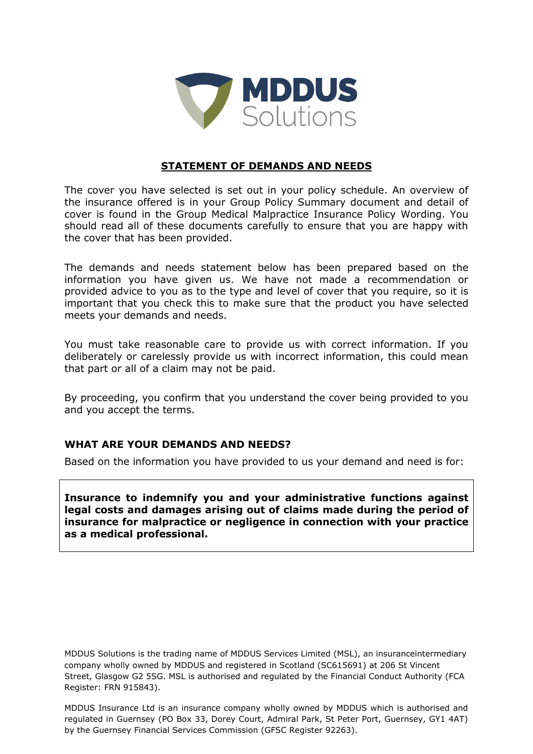

## **STATEMENT OF DEMANDS AND NEEDS**

The cover you have selected is set out in your policy schedule. An overview of the insurance offered is in your Group Policy Summary document and detail of cover is found in the Group Medical Malpractice Insurance Policy Wording. You should read all of these documents carefully to ensure that you are happy with the cover that has been provided.

The demands and needs statement below has been prepared based on the information you have given us. We have not made a recommendation or provided advice to you as to the type and level of cover that you require, so it is important that you check this to make sure that the product you have selected meets your demands and needs.

You must take reasonable care to provide us with correct information. If you deliberately or carelessly provide us with incorrect information, this could mean that part or all of a claim may not be paid.

By proceeding, you confirm that you understand the cover being provided to you and you accept the terms.

## **WHAT ARE YOUR DEMANDS AND NEEDS?**

Based on the information you have provided to us your demand and need is for:

**Insurance to indemnify you and your administrative functions against legal costs and damages arising out of claims made during the period of insurance for malpractice or negligence in connection with your practice as a medical professional.**

MDDUS Solutions is the trading name of MDDUS Services Limited (MSL), an insuranceintermediary company wholly owned by MDDUS and registered in Scotland (SC615691) at 206 St Vincent Street, Glasgow G2 5SG. MSL is authorised and regulated by the Financial Conduct Authority (FCA Register: FRN 915843).

MDDUS Insurance Ltd is an insurance company wholly owned by MDDUS which is authorised and regulated in Guernsey (PO Box 33, Dorey Court, Admiral Park, St Peter Port, Guernsey, GY1 4AT) by the Guernsey Financial Services Commission (GFSC Register 92263).